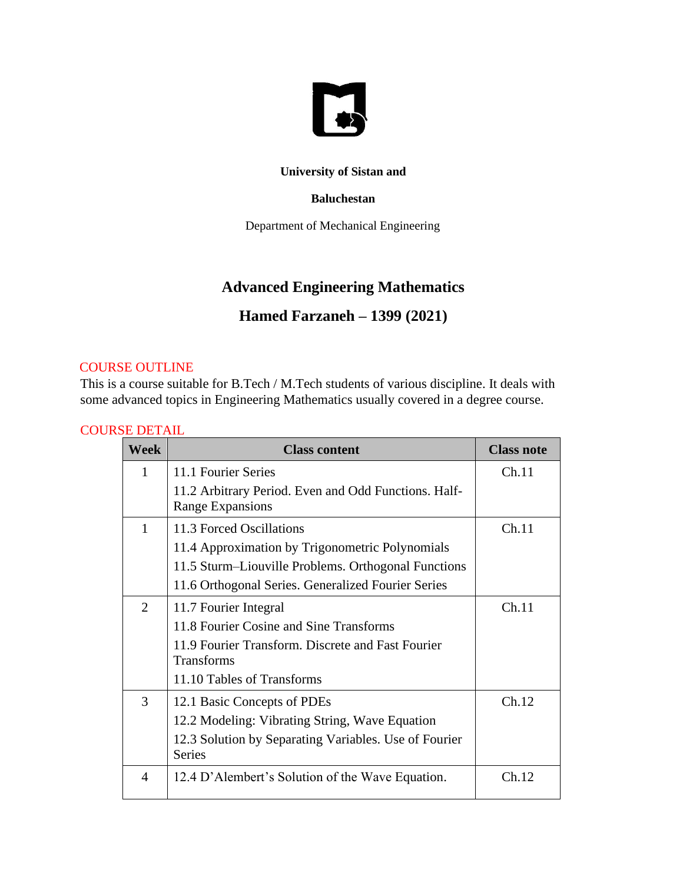

### **University of Sistan and**

#### **Baluchestan**

Department of Mechanical Engineering

### **Advanced Engineering Mathematics**

## **Hamed Farzaneh – 1399 (2021)**

### COURSE OUTLINE

This is a course suitable for B.Tech / M.Tech students of various discipline. It deals with some advanced topics in Engineering Mathematics usually covered in a degree course.

### COURSE DETAIL

| Week                  | <b>Class content</b>                                                     | <b>Class note</b> |
|-----------------------|--------------------------------------------------------------------------|-------------------|
| 1                     | 11.1 Fourier Series                                                      | Ch.11             |
|                       | 11.2 Arbitrary Period. Even and Odd Functions. Half-<br>Range Expansions |                   |
| 1                     | 11.3 Forced Oscillations                                                 | Ch.11             |
|                       | 11.4 Approximation by Trigonometric Polynomials                          |                   |
|                       | 11.5 Sturm-Liouville Problems. Orthogonal Functions                      |                   |
|                       | 11.6 Orthogonal Series. Generalized Fourier Series                       |                   |
| $\mathcal{D}_{\cdot}$ | 11.7 Fourier Integral                                                    | Ch.11             |
|                       | 11.8 Fourier Cosine and Sine Transforms                                  |                   |
|                       | 11.9 Fourier Transform. Discrete and Fast Fourier<br><b>Transforms</b>   |                   |
|                       | 11.10 Tables of Transforms                                               |                   |
| 3                     | 12.1 Basic Concepts of PDEs                                              | Ch.12             |
|                       | 12.2 Modeling: Vibrating String, Wave Equation                           |                   |
|                       | 12.3 Solution by Separating Variables. Use of Fourier<br><b>Series</b>   |                   |
| 4                     | 12.4 D'Alembert's Solution of the Wave Equation.                         | Ch 12             |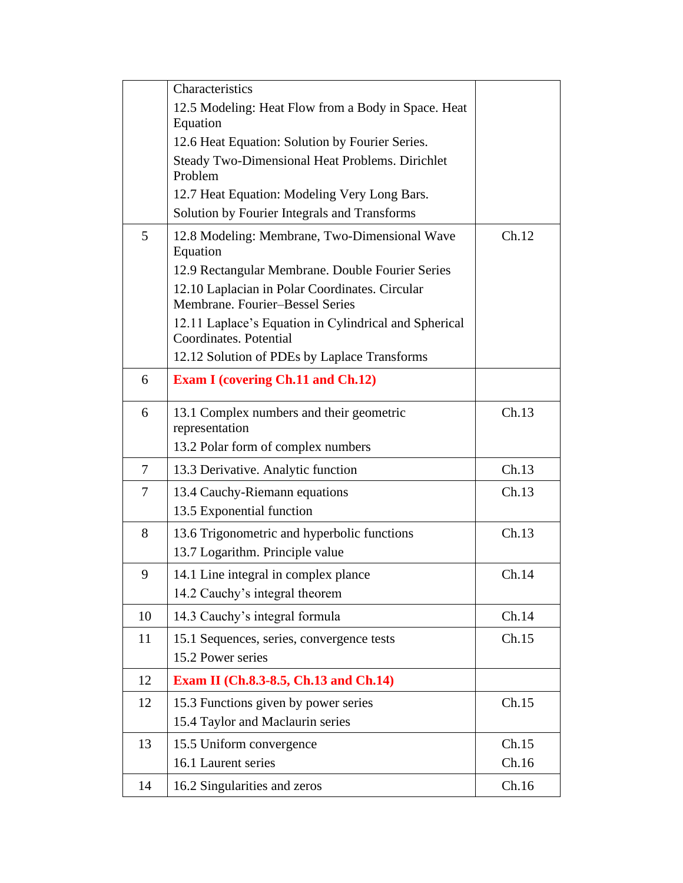| Characteristics<br>12.5 Modeling: Heat Flow from a Body in Space. Heat            |                |
|-----------------------------------------------------------------------------------|----------------|
|                                                                                   |                |
| Equation                                                                          |                |
| 12.6 Heat Equation: Solution by Fourier Series.                                   |                |
| <b>Steady Two-Dimensional Heat Problems. Dirichlet</b>                            |                |
| Problem                                                                           |                |
| 12.7 Heat Equation: Modeling Very Long Bars.                                      |                |
| Solution by Fourier Integrals and Transforms                                      |                |
| 5<br>12.8 Modeling: Membrane, Two-Dimensional Wave<br>Equation                    | Ch.12          |
| 12.9 Rectangular Membrane. Double Fourier Series                                  |                |
| 12.10 Laplacian in Polar Coordinates. Circular<br>Membrane. Fourier-Bessel Series |                |
| 12.11 Laplace's Equation in Cylindrical and Spherical<br>Coordinates. Potential   |                |
| 12.12 Solution of PDEs by Laplace Transforms                                      |                |
| <b>Exam I (covering Ch.11 and Ch.12)</b><br>6                                     |                |
| 6<br>13.1 Complex numbers and their geometric<br>representation                   | Ch.13          |
| 13.2 Polar form of complex numbers                                                |                |
| 13.3 Derivative. Analytic function<br>7                                           | Ch.13          |
| 7<br>13.4 Cauchy-Riemann equations                                                | Ch.13          |
| 13.5 Exponential function                                                         |                |
| 8<br>13.6 Trigonometric and hyperbolic functions                                  | Ch.13          |
| 13.7 Logarithm. Principle value                                                   |                |
| 9<br>14.1 Line integral in complex plance                                         | Ch.14          |
| 14.2 Cauchy's integral theorem                                                    |                |
| 14.3 Cauchy's integral formula<br>10                                              | Ch.14          |
| 11<br>15.1 Sequences, series, convergence tests                                   | Ch.15          |
| 15.2 Power series                                                                 |                |
|                                                                                   |                |
| 12<br>Exam II (Ch.8.3-8.5, Ch.13 and Ch.14)                                       |                |
| 15.3 Functions given by power series<br>12                                        | Ch.15          |
| 15.4 Taylor and Maclaurin series                                                  |                |
|                                                                                   |                |
| 15.5 Uniform convergence<br>13<br>16.1 Laurent series                             | Ch.15<br>Ch.16 |